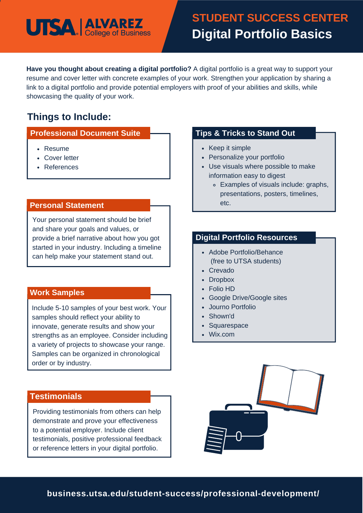

## **STUDENT SUCCESS CENTER Digital Portfolio Basics**

**Have you thought about creating a digital portfolio?** A digital portfolio is a great way to support your resume and cover letter with concrete examples of your work. Strengthen your application by sharing a link to a digital portfolio and provide potential employers with proof of your abilities and skills, while showcasing the quality of your work.

### **Things to Include:**

### **Professional Document Suite**

- Resume
- Cover letter
- References

#### **Personal Statement**

Your personal statement should be brief and share your goals and values, or provide a brief narrative about how you got started in your industry. Including a timeline can help make your statement stand out.

#### **Work Samples**

Include 5-10 samples of your best work. Your samples should reflect your ability to innovate, generate results and show your strengths as an employee. Consider including a variety of projects to showcase your range. Samples can be organized in chronological order or by industry.

### **Testimonials**

Providing testimonials from others can help demonstrate and prove your effectiveness to a potential employer. Include client testimonials, positive professional feedback or reference letters in your digital portfolio.

### **Tips & Tricks to Stand Out**

- Keep it simple
- Personalize your portfolio
- Use visuals where possible to make information easy to digest
	- Examples of visuals include: graphs, presentations, posters, timelines, etc.

### **Digital Portfolio Resources**

- Adobe Portfolio/Behance (free to UTSA students)
- Crevado
- Dropbox
- Folio HD
- Google Drive/Google sites
- Journo Portfolio
- Shown'd
- Squarespace
- Wix.com